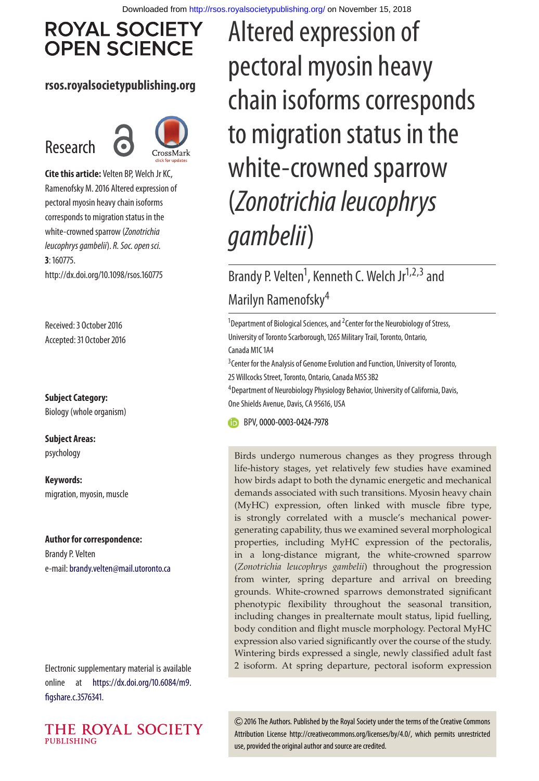# **ROYAL SOCIETY OPEN SCIENCE**

#### **rsos.royalsocietypublishing.org**

# Research



**Cite this article:** Velten BP, Welch Jr KC, Ramenofsky M. 2016 Altered expression of pectoral myosin heavy chain isoforms corresponds to migration status in the white-crowned sparrow (Zonotrichia leucophrys gambelii). R. Soc. open sci. **3**: 160775. http://dx.doi.org/10.1098/rsos.160775

Received: 3 October 2016 Accepted: 31 October 2016

**Subject Category:**

Biology (whole organism)

**Subject Areas:** psychology

**Keywords:** migration, myosin, muscle

#### **Author for correspondence:**

Brandy P. Velten e-mail: [brandy.velten@mail.utoronto.ca](mailto:brandy.velten@mail.utoronto.ca)

Electronic supplementary material is available online at [https://dx.doi.org/10.6084/m9.](https://dx.doi.org/10.6084/m9.figshare.c.3576341) [figshare.c.3576341.](https://dx.doi.org/10.6084/m9.figshare.c.3576341)



Altered expression of pectoral myosin heavy chain isoforms corresponds to migration status in the white-crowned sparrow (Zonotrichia leucophrys gambelii)

# Brandy P. Velten<sup>1</sup>, Kenneth C. Welch Jr<sup>1,2,3</sup> and Marilyn Ramenofsky<sup>4</sup>

<sup>1</sup>Department of Biological Sciences, and <sup>2</sup>Center for the Neurobiology of Stress, University of Toronto Scarborough, 1265 Military Trail, Toronto, Ontario, Canada M1C 1A4

<sup>3</sup> Center for the Analysis of Genome Evolution and Function, University of Toronto, 25 Willcocks Street, Toronto, Ontario, Canada M5S 3B2

<sup>4</sup> Department of Neurobiology Physiology Behavior, University of California, Davis, One Shields Avenue, Davis, CA 95616, USA

BPV,[0000-0003-0424-7978](http://orcid.org/0000-0003-0424-7978)

Birds undergo numerous changes as they progress through life-history stages, yet relatively few studies have examined how birds adapt to both the dynamic energetic and mechanical demands associated with such transitions. Myosin heavy chain (MyHC) expression, often linked with muscle fibre type, is strongly correlated with a muscle's mechanical powergenerating capability, thus we examined several morphological properties, including MyHC expression of the pectoralis, in a long-distance migrant, the white-crowned sparrow (*Zonotrichia leucophrys gambelii*) throughout the progression from winter, spring departure and arrival on breeding grounds. White-crowned sparrows demonstrated significant phenotypic flexibility throughout the seasonal transition, including changes in prealternate moult status, lipid fuelling, body condition and flight muscle morphology. Pectoral MyHC expression also varied significantly over the course of the study. Wintering birds expressed a single, newly classified adult fast 2 isoform. At spring departure, pectoral isoform expression

2016 The Authors. Published by the Royal Society under the terms of the Creative Commons Attribution License http://creativecommons.org/licenses/by/4.0/, which permits unrestricted use, provided the original author and source are credited.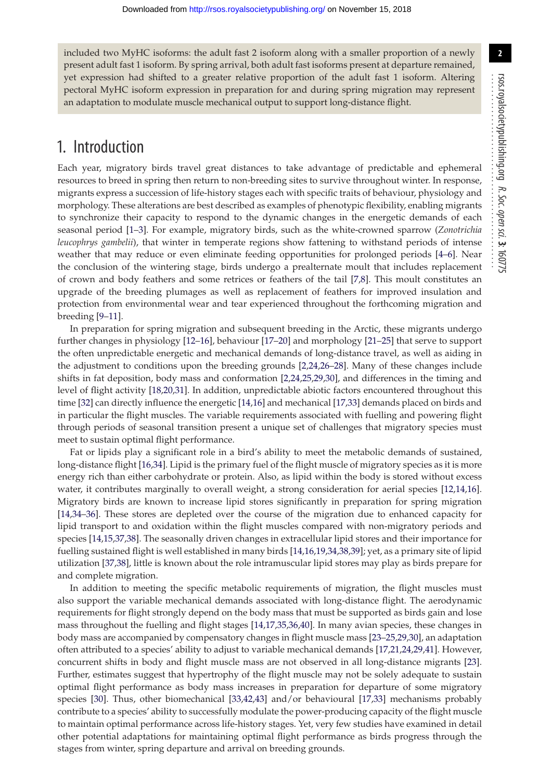R. Soc.

................................................

open

sci. **3**: 160775

**2**

included two MyHC isoforms: the adult fast 2 isoform along with a smaller proportion of a newly present adult fast 1 isoform. By spring arrival, both adult fast isoforms present at departure remained, yet expression had shifted to a greater relative proportion of the adult fast 1 isoform. Altering pectoral MyHC isoform expression in preparation for and during spring migration may represent an adaptation to modulate muscle mechanical output to support long-distance flight.

## 1. Introduction

Each year, migratory birds travel great distances to take advantage of predictable and ephemeral resources to breed in spring then return to non-breeding sites to survive throughout winter. In response, migrants express a succession of life-history stages each with specific traits of behaviour, physiology and morphology. These alterations are best described as examples of phenotypic flexibility, enabling migrants to synchronize their capacity to respond to the dynamic changes in the energetic demands of each seasonal period [\[1](#page-12-0)[–3\]](#page-12-1). For example, migratory birds, such as the white-crowned sparrow (*Zonotrichia leucophrys gambelii*), that winter in temperate regions show fattening to withstand periods of intense weather that may reduce or even eliminate feeding opportunities for prolonged periods [\[4](#page-12-2)[–6\]](#page-12-3). Near the conclusion of the wintering stage, birds undergo a prealternate moult that includes replacement of crown and body feathers and some retrices or feathers of the tail [\[7,](#page-12-4)[8\]](#page-12-5). This moult constitutes an upgrade of the breeding plumages as well as replacement of feathers for improved insulation and protection from environmental wear and tear experienced throughout the forthcoming migration and breeding [\[9–](#page-12-6)[11\]](#page-12-7).

In preparation for spring migration and subsequent breeding in the Arctic, these migrants undergo further changes in physiology [\[12](#page-12-8)[–16\]](#page-12-9), behaviour [\[17–](#page-12-10)[20\]](#page-12-11) and morphology [\[21–](#page-12-12)[25\]](#page-12-13) that serve to support the often unpredictable energetic and mechanical demands of long-distance travel, as well as aiding in the adjustment to conditions upon the breeding grounds [\[2,](#page-12-14)[24](#page-12-15)[,26–](#page-12-16)[28\]](#page-12-17). Many of these changes include shifts in fat deposition, body mass and conformation [\[2](#page-12-14)[,24,](#page-12-15)[25,](#page-12-13)[29](#page-12-18)[,30\]](#page-12-19), and differences in the timing and level of flight activity [\[18](#page-12-20)[,20,](#page-12-11)[31\]](#page-12-21). In addition, unpredictable abiotic factors encountered throughout this time [\[32\]](#page-12-22) can directly influence the energetic [\[14,](#page-12-23)[16\]](#page-12-9) and mechanical [\[17,](#page-12-10)[33\]](#page-12-24) demands placed on birds and in particular the flight muscles. The variable requirements associated with fuelling and powering flight through periods of seasonal transition present a unique set of challenges that migratory species must meet to sustain optimal flight performance.

Fat or lipids play a significant role in a bird's ability to meet the metabolic demands of sustained, long-distance flight [\[16](#page-12-9)[,34\]](#page-12-25). Lipid is the primary fuel of the flight muscle of migratory species as it is more energy rich than either carbohydrate or protein. Also, as lipid within the body is stored without excess water, it contributes marginally to overall weight, a strong consideration for aerial species [\[12](#page-12-8)[,14](#page-12-23)[,16\]](#page-12-9). Migratory birds are known to increase lipid stores significantly in preparation for spring migration [\[14,](#page-12-23)[34](#page-12-25)[–36\]](#page-12-26). These stores are depleted over the course of the migration due to enhanced capacity for lipid transport to and oxidation within the flight muscles compared with non-migratory periods and species [\[14](#page-12-23)[,15,](#page-12-27)[37,](#page-12-28)[38\]](#page-12-29). The seasonally driven changes in extracellular lipid stores and their importance for fuelling sustained flight is well established in many birds [\[14,](#page-12-23)[16](#page-12-9)[,19](#page-12-30)[,34](#page-12-25)[,38,](#page-12-29)[39\]](#page-12-31); yet, as a primary site of lipid utilization [\[37,](#page-12-28)[38\]](#page-12-29), little is known about the role intramuscular lipid stores may play as birds prepare for and complete migration.

In addition to meeting the specific metabolic requirements of migration, the flight muscles must also support the variable mechanical demands associated with long-distance flight. The aerodynamic requirements for flight strongly depend on the body mass that must be supported as birds gain and lose mass throughout the fuelling and flight stages [\[14](#page-12-23)[,17,](#page-12-10)[35](#page-12-32)[,36,](#page-12-26)[40\]](#page-12-33). In many avian species, these changes in body mass are accompanied by compensatory changes in flight muscle mass [\[23](#page-12-34)[–25,](#page-12-13)[29](#page-12-18)[,30\]](#page-12-19), an adaptation often attributed to a species' ability to adjust to variable mechanical demands [\[17](#page-12-10)[,21](#page-12-12)[,24,](#page-12-15)[29,](#page-12-18)[41\]](#page-12-35). However, concurrent shifts in body and flight muscle mass are not observed in all long-distance migrants [\[23\]](#page-12-34). Further, estimates suggest that hypertrophy of the flight muscle may not be solely adequate to sustain optimal flight performance as body mass increases in preparation for departure of some migratory species [\[30\]](#page-12-19). Thus, other biomechanical [\[33,](#page-12-24)[42,](#page-12-36)[43\]](#page-12-37) and/or behavioural [\[17,](#page-12-10)[33\]](#page-12-24) mechanisms probably contribute to a species' ability to successfully modulate the power-producing capacity of the flight muscle to maintain optimal performance across life-history stages. Yet, very few studies have examined in detail other potential adaptations for maintaining optimal flight performance as birds progress through the stages from winter, spring departure and arrival on breeding grounds.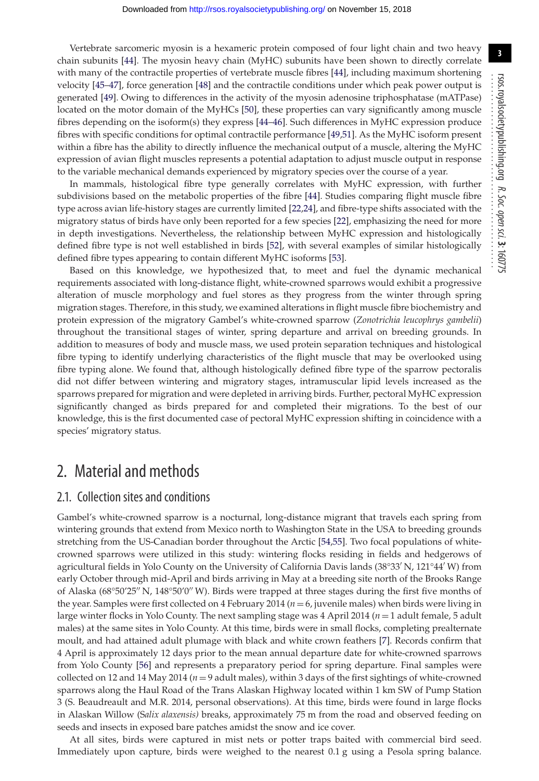Vertebrate sarcomeric myosin is a hexameric protein composed of four light chain and two heavy chain subunits [\[44\]](#page-12-38). The myosin heavy chain (MyHC) subunits have been shown to directly correlate with many of the contractile properties of vertebrate muscle fibres [\[44\]](#page-12-38), including maximum shortening velocity [\[45](#page-12-39)[–47\]](#page-12-40), force generation [\[48\]](#page-13-0) and the contractile conditions under which peak power output is generated [\[49\]](#page-13-1). Owing to differences in the activity of the myosin adenosine triphosphatase (mATPase) located on the motor domain of the MyHCs [\[50\]](#page-13-2), these properties can vary significantly among muscle fibres depending on the isoform(s) they express [\[44](#page-12-38)[–46\]](#page-12-41). Such differences in MyHC expression produce fibres with specific conditions for optimal contractile performance [\[49](#page-13-1)[,51\]](#page-13-3). As the MyHC isoform present within a fibre has the ability to directly influence the mechanical output of a muscle, altering the MyHC expression of avian flight muscles represents a potential adaptation to adjust muscle output in response to the variable mechanical demands experienced by migratory species over the course of a year.

In mammals, histological fibre type generally correlates with MyHC expression, with further subdivisions based on the metabolic properties of the fibre [\[44\]](#page-12-38). Studies comparing flight muscle fibre type across avian life-history stages are currently limited [\[22,](#page-12-42)[24\]](#page-12-15), and fibre-type shifts associated with the migratory status of birds have only been reported for a few species [\[22\]](#page-12-42), emphasizing the need for more in depth investigations. Nevertheless, the relationship between MyHC expression and histologically defined fibre type is not well established in birds [\[52\]](#page-13-4), with several examples of similar histologically defined fibre types appearing to contain different MyHC isoforms [\[53\]](#page-13-5).

Based on this knowledge, we hypothesized that, to meet and fuel the dynamic mechanical requirements associated with long-distance flight, white-crowned sparrows would exhibit a progressive alteration of muscle morphology and fuel stores as they progress from the winter through spring migration stages. Therefore, in this study, we examined alterations in flight muscle fibre biochemistry and protein expression of the migratory Gambel's white-crowned sparrow (*Zonotrichia leucophrys gambelii*) throughout the transitional stages of winter, spring departure and arrival on breeding grounds. In addition to measures of body and muscle mass, we used protein separation techniques and histological fibre typing to identify underlying characteristics of the flight muscle that may be overlooked using fibre typing alone. We found that, although histologically defined fibre type of the sparrow pectoralis did not differ between wintering and migratory stages, intramuscular lipid levels increased as the sparrows prepared for migration and were depleted in arriving birds. Further, pectoral MyHC expression significantly changed as birds prepared for and completed their migrations. To the best of our knowledge, this is the first documented case of pectoral MyHC expression shifting in coincidence with a species' migratory status.

## 2. Material and methods

#### 2.1. Collection sites and conditions

Gambel's white-crowned sparrow is a nocturnal, long-distance migrant that travels each spring from wintering grounds that extend from Mexico north to Washington State in the USA to breeding grounds stretching from the US-Canadian border throughout the Arctic [\[54](#page-13-6)[,55\]](#page-13-7). Two focal populations of whitecrowned sparrows were utilized in this study: wintering flocks residing in fields and hedgerows of agricultural fields in Yolo County on the University of California Davis lands (38°33′ N, 121°44′ W) from early October through mid-April and birds arriving in May at a breeding site north of the Brooks Range of Alaska (68°50′25″ N, 148°50′0″ W). Birds were trapped at three stages during the first five months of the year. Samples were first collected on 4 February 2014 ( $n = 6$ , juvenile males) when birds were living in large winter flocks in Yolo County. The next sampling stage was 4 April 2014 (*n* = 1 adult female, 5 adult males) at the same sites in Yolo County. At this time, birds were in small flocks, completing prealternate moult, and had attained adult plumage with black and white crown feathers [\[7\]](#page-12-4). Records confirm that 4 April is approximately 12 days prior to the mean annual departure date for white-crowned sparrows from Yolo County [\[56\]](#page-13-8) and represents a preparatory period for spring departure. Final samples were collected on 12 and 14 May 2014 (*n* = 9 adult males), within 3 days of the first sightings of white-crowned sparrows along the Haul Road of the Trans Alaskan Highway located within 1 km SW of Pump Station 3 (S. Beaudreault and M.R. 2014, personal observations). At this time, birds were found in large flocks in Alaskan Willow (S*alix alaxensis)* breaks, approximately 75 m from the road and observed feeding on seeds and insects in exposed bare patches amidst the snow and ice cover.

At all sites, birds were captured in mist nets or potter traps baited with commercial bird seed. Immediately upon capture, birds were weighed to the nearest 0.1 g using a Pesola spring balance.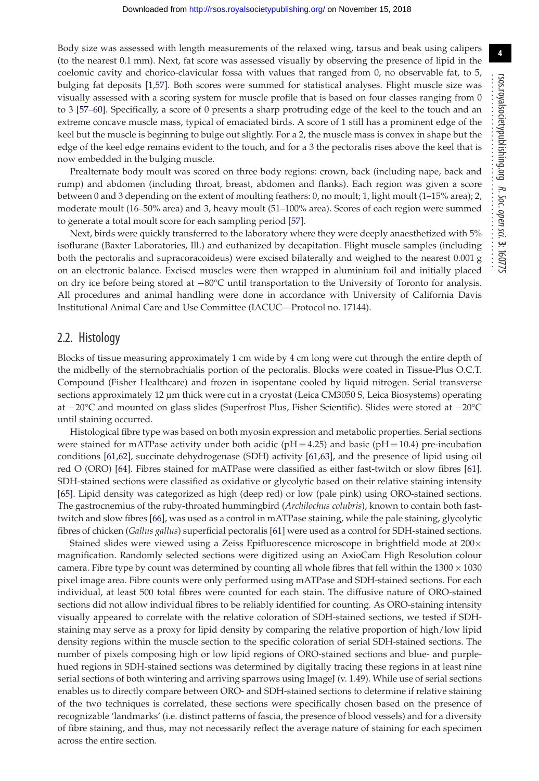Body size was assessed with length measurements of the relaxed wing, tarsus and beak using calipers (to the nearest 0.1 mm). Next, fat score was assessed visually by observing the presence of lipid in the coelomic cavity and chorico-clavicular fossa with values that ranged from 0, no observable fat, to 5, bulging fat deposits [\[1](#page-12-0)[,57\]](#page-13-9). Both scores were summed for statistical analyses. Flight muscle size was visually assessed with a scoring system for muscle profile that is based on four classes ranging from 0 to 3 [\[57](#page-13-9)[–60\]](#page-13-10). Specifically, a score of 0 presents a sharp protruding edge of the keel to the touch and an extreme concave muscle mass, typical of emaciated birds. A score of 1 still has a prominent edge of the keel but the muscle is beginning to bulge out slightly. For a 2, the muscle mass is convex in shape but the edge of the keel edge remains evident to the touch, and for a 3 the pectoralis rises above the keel that is now embedded in the bulging muscle.

Prealternate body moult was scored on three body regions: crown, back (including nape, back and rump) and abdomen (including throat, breast, abdomen and flanks). Each region was given a score between 0 and 3 depending on the extent of moulting feathers: 0, no moult; 1, light moult (1–15% area); 2, moderate moult (16–50% area) and 3, heavy moult (51–100% area). Scores of each region were summed to generate a total moult score for each sampling period [\[57\]](#page-13-9).

Next, birds were quickly transferred to the laboratory where they were deeply anaesthetized with 5% isoflurane (Baxter Laboratories, Ill.) and euthanized by decapitation. Flight muscle samples (including both the pectoralis and supracoracoideus) were excised bilaterally and weighed to the nearest 0.001 g on an electronic balance. Excised muscles were then wrapped in aluminium foil and initially placed on dry ice before being stored at −80°C until transportation to the University of Toronto for analysis. All procedures and animal handling were done in accordance with University of California Davis Institutional Animal Care and Use Committee (IACUC—Protocol no. 17144).

#### 2.2. Histology

Blocks of tissue measuring approximately 1 cm wide by 4 cm long were cut through the entire depth of the midbelly of the sternobrachialis portion of the pectoralis. Blocks were coated in Tissue-Plus O.C.T. Compound (Fisher Healthcare) and frozen in isopentane cooled by liquid nitrogen. Serial transverse sections approximately 12 µm thick were cut in a cryostat (Leica CM3050 S, Leica Biosystems) operating at −20°C and mounted on glass slides (Superfrost Plus, Fisher Scientific). Slides were stored at −20°C until staining occurred.

Histological fibre type was based on both myosin expression and metabolic properties. Serial sections were stained for mATPase activity under both acidic ( $pH = 4.25$ ) and basic ( $pH = 10.4$ ) pre-incubation conditions [\[61](#page-13-11)[,62\]](#page-13-12), succinate dehydrogenase (SDH) activity [\[61](#page-13-11)[,63\]](#page-13-13), and the presence of lipid using oil red O (ORO) [\[64\]](#page-13-14). Fibres stained for mATPase were classified as either fast-twitch or slow fibres [\[61\]](#page-13-11). SDH-stained sections were classified as oxidative or glycolytic based on their relative staining intensity [\[65\]](#page-13-15). Lipid density was categorized as high (deep red) or low (pale pink) using ORO-stained sections. The gastrocnemius of the ruby-throated hummingbird (*Archilochus colubris*), known to contain both fasttwitch and slow fibres [\[66\]](#page-13-16), was used as a control in mATPase staining, while the pale staining, glycolytic fibres of chicken (*Gallus gallus*) superficial pectoralis [\[61\]](#page-13-11) were used as a control for SDH-stained sections.

Stained slides were viewed using a Zeiss Epifluorescence microscope in brightfield mode at  $200 \times$ magnification. Randomly selected sections were digitized using an AxioCam High Resolution colour camera. Fibre type by count was determined by counting all whole fibres that fell within the  $1300 \times 1030$ pixel image area. Fibre counts were only performed using mATPase and SDH-stained sections. For each individual, at least 500 total fibres were counted for each stain. The diffusive nature of ORO-stained sections did not allow individual fibres to be reliably identified for counting. As ORO-staining intensity visually appeared to correlate with the relative coloration of SDH-stained sections, we tested if SDHstaining may serve as a proxy for lipid density by comparing the relative proportion of high/low lipid density regions within the muscle section to the specific coloration of serial SDH-stained sections. The number of pixels composing high or low lipid regions of ORO-stained sections and blue- and purplehued regions in SDH-stained sections was determined by digitally tracing these regions in at least nine serial sections of both wintering and arriving sparrows using ImageJ (v. 1.49). While use of serial sections enables us to directly compare between ORO- and SDH-stained sections to determine if relative staining of the two techniques is correlated, these sections were specifically chosen based on the presence of recognizable 'landmarks' (i.e. distinct patterns of fascia, the presence of blood vessels) and for a diversity of fibre staining, and thus, may not necessarily reflect the average nature of staining for each specimen across the entire section.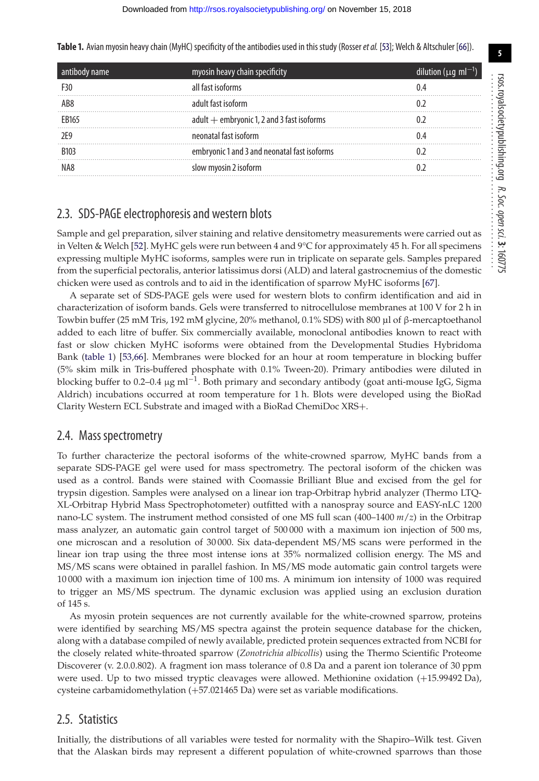<span id="page-4-0"></span>**Table 1.** Avian myosin heavy chain (MyHC) specificity of the antibodies used in this study (Rosser*et al.* [\[53\]](#page-13-5); Welch & Altschuler [\[66\]](#page-13-16)).

| antibody name     | myosin heavy chain specificity               | dilution ( $\mu$ q ml <sup>-1</sup> ) |
|-------------------|----------------------------------------------|---------------------------------------|
| F30               | all fast isoforms                            |                                       |
| AB <sub>8</sub>   | adult fast isoform                           |                                       |
| FB <sub>165</sub> | adult + embryonic 1, 2 and 3 fast isoforms   |                                       |
|                   | neonatal fast isoform                        |                                       |
| <b>B103</b>       | embryonic 1 and 3 and neonatal fast isoforms |                                       |
| NA8               | slow myosin 2 isoform                        |                                       |
|                   |                                              |                                       |

#### 2.3. SDS-PAGE electrophoresis and western blots

Sample and gel preparation, silver staining and relative densitometry measurements were carried out as in Velten & Welch [\[52\]](#page-13-4). MyHC gels were run between 4 and 9°C for approximately 45 h. For all specimens expressing multiple MyHC isoforms, samples were run in triplicate on separate gels. Samples prepared from the superficial pectoralis, anterior latissimus dorsi (ALD) and lateral gastrocnemius of the domestic chicken were used as controls and to aid in the identification of sparrow MyHC isoforms [\[67\]](#page-13-17).

A separate set of SDS-PAGE gels were used for western blots to confirm identification and aid in characterization of isoform bands. Gels were transferred to nitrocellulose membranes at 100 V for 2 h in Towbin buffer (25 mM Tris, 192 mM glycine, 20% methanol, 0.1% SDS) with 800 µl of β-mercaptoethanol added to each litre of buffer. Six commercially available, monoclonal antibodies known to react with fast or slow chicken MyHC isoforms were obtained from the Developmental Studies Hybridoma Bank [\(table 1\)](#page-4-0) [\[53,](#page-13-5)[66\]](#page-13-16). Membranes were blocked for an hour at room temperature in blocking buffer (5% skim milk in Tris-buffered phosphate with 0.1% Tween-20). Primary antibodies were diluted in blocking buffer to 0.2–0.4 µg ml<sup>-1</sup>. Both primary and secondary antibody (goat anti-mouse IgG, Sigma Aldrich) incubations occurred at room temperature for 1 h. Blots were developed using the BioRad Clarity Western ECL Substrate and imaged with a BioRad ChemiDoc XRS+.

#### 2.4. Mass spectrometry

To further characterize the pectoral isoforms of the white-crowned sparrow, MyHC bands from a separate SDS-PAGE gel were used for mass spectrometry. The pectoral isoform of the chicken was used as a control. Bands were stained with Coomassie Brilliant Blue and excised from the gel for trypsin digestion. Samples were analysed on a linear ion trap-Orbitrap hybrid analyzer (Thermo LTQ-XL-Orbitrap Hybrid Mass Spectrophotometer) outfitted with a nanospray source and EASY-nLC 1200 nano-LC system. The instrument method consisted of one MS full scan (400–1400 *m*/*z*) in the Orbitrap mass analyzer, an automatic gain control target of 500 000 with a maximum ion injection of 500 ms, one microscan and a resolution of 30 000. Six data-dependent MS/MS scans were performed in the linear ion trap using the three most intense ions at 35% normalized collision energy. The MS and MS/MS scans were obtained in parallel fashion. In MS/MS mode automatic gain control targets were 10 000 with a maximum ion injection time of 100 ms. A minimum ion intensity of 1000 was required to trigger an MS/MS spectrum. The dynamic exclusion was applied using an exclusion duration of 145 s.

As myosin protein sequences are not currently available for the white-crowned sparrow, proteins were identified by searching MS/MS spectra against the protein sequence database for the chicken, along with a database compiled of newly available, predicted protein sequences extracted from NCBI for the closely related white-throated sparrow (*Zonotrichia albicollis*) using the Thermo Scientific Proteome Discoverer (v. 2.0.0.802). A fragment ion mass tolerance of 0.8 Da and a parent ion tolerance of 30 ppm were used. Up to two missed tryptic cleavages were allowed. Methionine oxidation (+15.99492 Da), cysteine carbamidomethylation (+57.021465 Da) were set as variable modifications.

#### 2.5. Statistics

Initially, the distributions of all variables were tested for normality with the Shapiro–Wilk test. Given that the Alaskan birds may represent a different population of white-crowned sparrows than those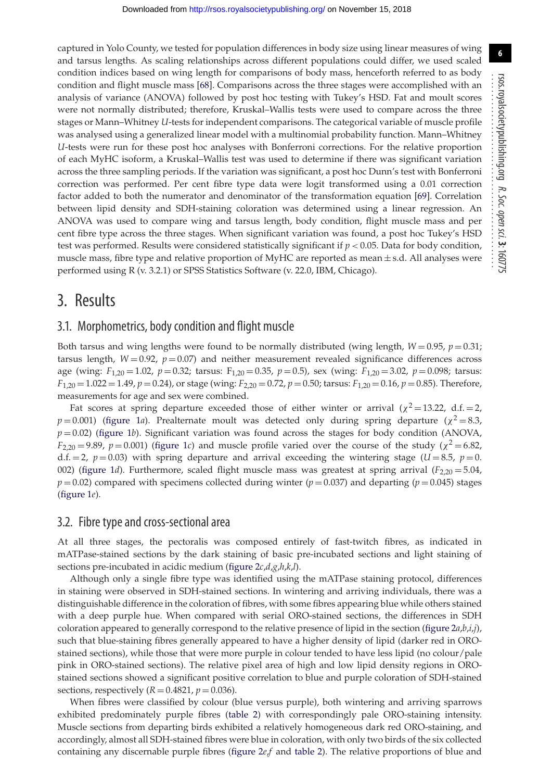captured in Yolo County, we tested for population differences in body size using linear measures of wing and tarsus lengths. As scaling relationships across different populations could differ, we used scaled condition indices based on wing length for comparisons of body mass, henceforth referred to as body condition and flight muscle mass [\[68\]](#page-13-18). Comparisons across the three stages were accomplished with an analysis of variance (ANOVA) followed by post hoc testing with Tukey's HSD. Fat and moult scores were not normally distributed; therefore, Kruskal–Wallis tests were used to compare across the three stages or Mann–Whitney *U*-tests for independent comparisons. The categorical variable of muscle profile was analysed using a generalized linear model with a multinomial probability function. Mann–Whitney *U*-tests were run for these post hoc analyses with Bonferroni corrections. For the relative proportion of each MyHC isoform, a Kruskal–Wallis test was used to determine if there was significant variation across the three sampling periods. If the variation was significant, a post hoc Dunn's test with Bonferroni correction was performed. Per cent fibre type data were logit transformed using a 0.01 correction factor added to both the numerator and denominator of the transformation equation [\[69\]](#page-13-19). Correlation between lipid density and SDH-staining coloration was determined using a linear regression. An ANOVA was used to compare wing and tarsus length, body condition, flight muscle mass and per cent fibre type across the three stages. When significant variation was found, a post hoc Tukey's HSD test was performed. Results were considered statistically significant if  $p < 0.05$ . Data for body condition, muscle mass, fibre type and relative proportion of MyHC are reported as mean  $\pm$  s.d. All analyses were performed using R (v. 3.2.1) or SPSS Statistics Software (v. 22.0, IBM, Chicago).

## 3. Results

#### 3.1. Morphometrics, body condition and flight muscle

Both tarsus and wing lengths were found to be normally distributed (wing length,  $W = 0.95$ ,  $p = 0.31$ ; tarsus length,  $W = 0.92$ ,  $p = 0.07$ ) and neither measurement revealed significance differences across age (wing: *F*1,20 = 1.02, *p* = 0.32; tarsus: F1,20 = 0.35, *p* = 0.5), sex (wing: *F*1,20 = 3.02, *p* = 0.098; tarsus: *F*1,20 = 1.022 = 1.49, *p* = 0.24), or stage (wing: *F*2,20 = 0.72, *p* = 0.50; tarsus: *F*1,20 = 0.16, *p* = 0.85). Therefore, measurements for age and sex were combined.

Fat scores at spring departure exceeded those of either winter or arrival ( $\chi^2 = 13.22$ , d.f. = 2,  $p = 0.001$ ) [\(figure 1](#page-6-0)*a*). Prealternate moult was detected only during spring departure ( $\chi^2 = 8.3$ ,  $p = 0.02$ ) [\(figure 1](#page-6-0)*b*). Significant variation was found across the stages for body condition (ANOVA,  $F_{2,20} = 9.89$ ,  $p = 0.001$ ) [\(figure 1](#page-6-0)*c*) and muscle profile varied over the course of the study ( $\chi^2 = 6.82$ , d.f.  $= 2$ ,  $p = 0.03$ ) with spring departure and arrival exceeding the wintering stage (*U* = 8.5, *p* = 0. 002) [\(figure 1](#page-6-0)*d*). Furthermore, scaled flight muscle mass was greatest at spring arrival (*F*2,20 = 5.04,  $p = 0.02$ ) compared with specimens collected during winter ( $p = 0.037$ ) and departing ( $p = 0.045$ ) stages [\(figure 1](#page-6-0)*e*).

#### 3.2. Fibre type and cross-sectional area

At all three stages, the pectoralis was composed entirely of fast-twitch fibres, as indicated in mATPase-stained sections by the dark staining of basic pre-incubated sections and light staining of sections pre-incubated in acidic medium [\(figure 2](#page-7-0)*c*,*d*,*g*,*h*,*k*,*l*).

Although only a single fibre type was identified using the mATPase staining protocol, differences in staining were observed in SDH-stained sections. In wintering and arriving individuals, there was a distinguishable difference in the coloration of fibres, with some fibres appearing blue while others stained with a deep purple hue. When compared with serial ORO-stained sections, the differences in SDH coloration appeared to generally correspond to the relative presence of lipid in the section [\(figure 2](#page-7-0)*a*,*b*,*i*,*j*), such that blue-staining fibres generally appeared to have a higher density of lipid (darker red in OROstained sections), while those that were more purple in colour tended to have less lipid (no colour/pale pink in ORO-stained sections). The relative pixel area of high and low lipid density regions in OROstained sections showed a significant positive correlation to blue and purple coloration of SDH-stained sections, respectively ( $R = 0.4821$ ,  $p = 0.036$ ).

When fibres were classified by colour (blue versus purple), both wintering and arriving sparrows exhibited predominately purple fibres [\(table 2\)](#page-7-1) with correspondingly pale ORO-staining intensity. Muscle sections from departing birds exhibited a relatively homogeneous dark red ORO-staining, and accordingly, almost all SDH-stained fibres were blue in coloration, with only two birds of the six collected containing any discernable purple fibres [\(figure 2](#page-7-0)*e*,*f* and [table 2\)](#page-7-1). The relative proportions of blue and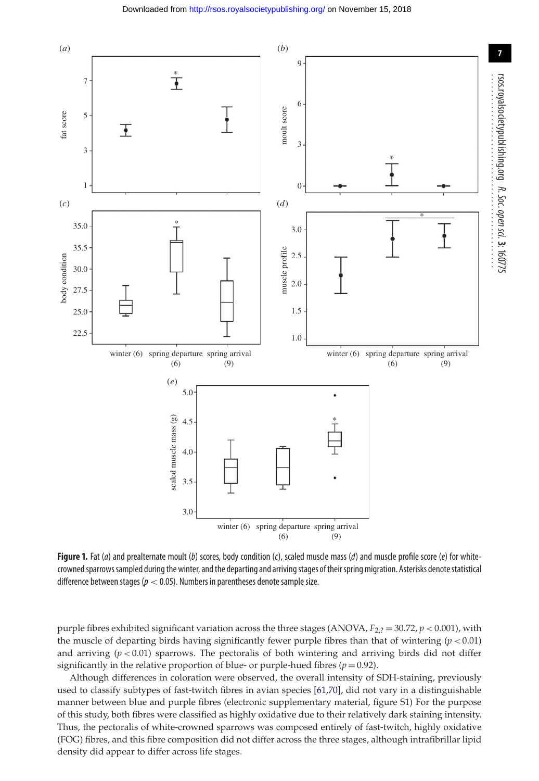

<span id="page-6-0"></span>**Figure 1.** Fat (a) and prealternate moult (b) scores, body condition (c), scaled muscle mass (d) and muscle profile score (e) for whitecrowned sparrows sampled during the winter, and the departing and arriving stages of their spring migration. Asterisks denote statistical difference between stages ( $p < 0.05$ ). Numbers in parentheses denote sample size.

purple fibres exhibited significant variation across the three stages (ANOVA,  $F_{2,2} = 30.72$ ,  $p < 0.001$ ), with the muscle of departing birds having significantly fewer purple fibres than that of wintering  $(p < 0.01)$ and arriving  $(p < 0.01)$  sparrows. The pectoralis of both wintering and arriving birds did not differ significantly in the relative proportion of blue- or purple-hued fibres  $(p=0.92)$ .

Although differences in coloration were observed, the overall intensity of SDH-staining, previously used to classify subtypes of fast-twitch fibres in avian species [\[61](#page-13-11)[,70\]](#page-13-20), did not vary in a distinguishable manner between blue and purple fibres (electronic supplementary material, figure S1) For the purpose of this study, both fibres were classified as highly oxidative due to their relatively dark staining intensity. Thus, the pectoralis of white-crowned sparrows was composed entirely of fast-twitch, highly oxidative (FOG) fibres, and this fibre composition did not differ across the three stages, although intrafibrillar lipid density did appear to differ across life stages.

**7**

R. Soc.

sci. **3**: 160775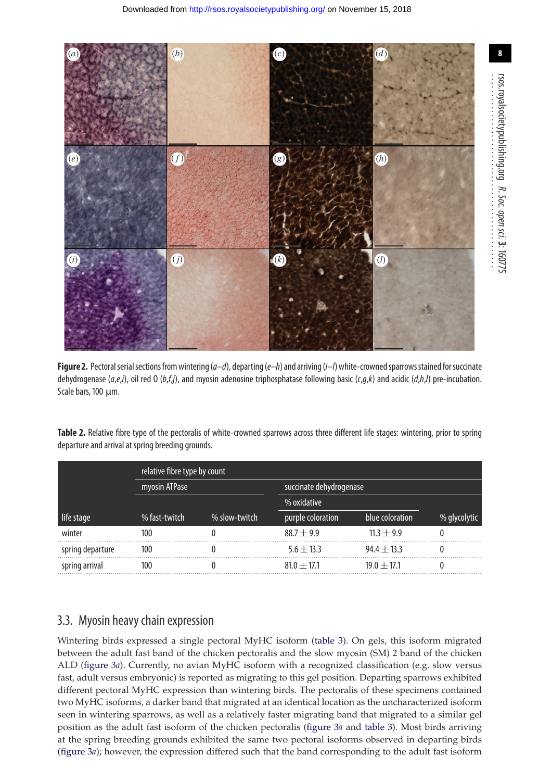

<span id="page-7-0"></span>**Figure 2.** Pectoral serial sections from wintering ( $a-d$ ), departing ( $e-h$ ) and arriving ( $i-l$ ) white-crowned sparrows stained for succinate dehydrogenase (a,e,i), oil red O (b,f,j), and myosin adenosine triphosphatase following basic (c,g,k) and acidic (d,h,l) pre-incubation. Scale bars, 100 µm.

|                  | relative fibre type by count |               |                         |                 |              |  |
|------------------|------------------------------|---------------|-------------------------|-----------------|--------------|--|
|                  | myosin ATPase                |               | succinate dehydrogenase |                 |              |  |
|                  |                              |               | % oxidative             |                 |              |  |
| life stage       | % fast-twitch                | % slow-twitch | purple coloration       | blue coloration | % glycolytic |  |
| winter           | 100                          |               | $88.7 \pm 9.9$          | $11.3 \pm 9.9$  |              |  |
| spring departure | 100                          |               | $5.6 \pm 13.3$          | $94.4 \pm 13.3$ |              |  |
| spring arrival   | 100                          |               | $81.0 + 17.1$           | $19.0 + 17.1$   |              |  |

<span id="page-7-1"></span>**Table 2.** Relative fibre type of the pectoralis of white-crowned sparrows across three different life stages: wintering, prior to spring departure and arrival at spring breeding grounds.

## 3.3. Myosin heavy chain expression

Wintering birds expressed a single pectoral MyHC isoform [\(table 3\)](#page-8-0). On gels, this isoform migrated between the adult fast band of the chicken pectoralis and the slow myosin (SM) 2 band of the chicken ALD [\(figure 3](#page-8-1)*a*). Currently, no avian MyHC isoform with a recognized classification (e.g. slow versus fast, adult versus embryonic) is reported as migrating to this gel position. Departing sparrows exhibited different pectoral MyHC expression than wintering birds. The pectoralis of these specimens contained two MyHC isoforms, a darker band that migrated at an identical location as the uncharacterized isoform seen in wintering sparrows, as well as a relatively faster migrating band that migrated to a similar gel position as the adult fast isoform of the chicken pectoralis [\(figure 3](#page-8-1)*a* and [table 3\)](#page-8-0). Most birds arriving at the spring breeding grounds exhibited the same two pectoral isoforms observed in departing birds [\(figure 3](#page-8-1)*a*); however, the expression differed such that the band corresponding to the adult fast isoform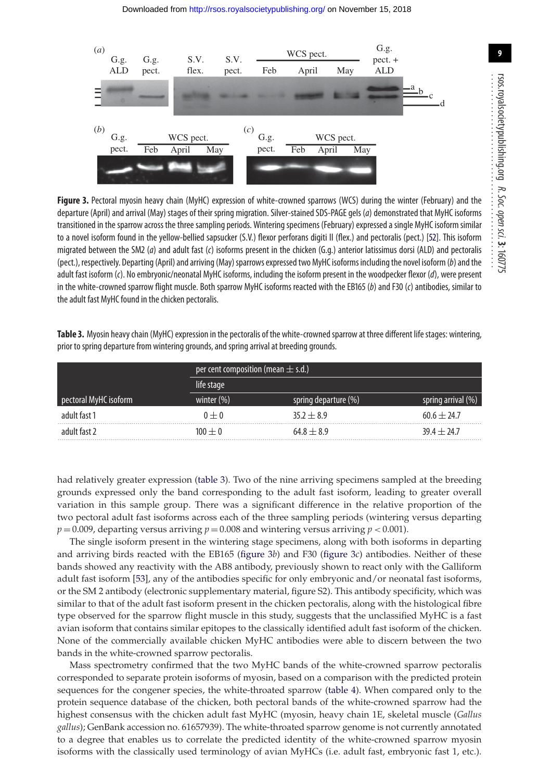

<span id="page-8-1"></span>**Figure 3.** Pectoral myosin heavy chain (MyHC) expression of white-crowned sparrows (WCS) during the winter (February) and the departure (April) and arrival (May) stages of their spring migration. Silver-stained SDS-PAGE gels (a) demonstrated that MyHC isoforms transitioned in the sparrow across the three sampling periods. Wintering specimens (February) expressed a single MyHC isoform similar to a novel isoform found in the yellow-bellied sapsucker (S.V.) flexor perforans digiti II (flex.) and pectoralis (pect.) [\[52\]](#page-13-4). This isoform migrated between the SM2 (a) and adult fast (c) isoforms present in the chicken (G.g.) anterior latissimus dorsi (ALD) and pectoralis (pect.), respectively. Departing (April) and arriving (May) sparrows expressed two MyHC isoforms including the novel isoform (b) and the adult fast isoform (c). No embryonic/neonatal MyHC isoforms, including the isoform present in the woodpecker flexor (d), were present in the white-crowned sparrow flight muscle. Both sparrow MyHC isoforms reacted with the EB165 (b) and F30 (c) antibodies, similar to the adult fast MyHC found in the chicken pectoralis.

<span id="page-8-0"></span>**Table 3.** Myosin heavy chain (MyHC) expression in the pectoralis of the white-crowned sparrow at three different life stages: wintering, prior to spring departure from wintering grounds, and spring arrival at breeding grounds.

|                       | per cent composition (mean $\pm$ s.d.) |                      |                    |  |
|-----------------------|----------------------------------------|----------------------|--------------------|--|
|                       | life stage                             |                      |                    |  |
| pectoral MyHC isoform | winter $(\%)$                          | spring departure (%) | spring arrival (%) |  |
| adult fast 1          | $0 + 0$                                | $35.2 + 8.9$         | $60.6 + 24.7$      |  |
| adult fast 2          | $100 + 0$                              | $64.8 \pm 8.9$       | $39.4 + 24.7$      |  |

had relatively greater expression [\(table 3\)](#page-8-0). Two of the nine arriving specimens sampled at the breeding grounds expressed only the band corresponding to the adult fast isoform, leading to greater overall variation in this sample group. There was a significant difference in the relative proportion of the two pectoral adult fast isoforms across each of the three sampling periods (wintering versus departing  $p = 0.009$ , departing versus arriving  $p = 0.008$  and wintering versus arriving  $p < 0.001$ ).

The single isoform present in the wintering stage specimens, along with both isoforms in departing and arriving birds reacted with the EB165 [\(figure 3](#page-8-1)*b*) and F30 [\(figure 3](#page-8-1)*c*) antibodies. Neither of these bands showed any reactivity with the AB8 antibody, previously shown to react only with the Galliform adult fast isoform [\[53\]](#page-13-5), any of the antibodies specific for only embryonic and/or neonatal fast isoforms, or the SM 2 antibody (electronic supplementary material, figure S2). This antibody specificity, which was similar to that of the adult fast isoform present in the chicken pectoralis, along with the histological fibre type observed for the sparrow flight muscle in this study, suggests that the unclassified MyHC is a fast avian isoform that contains similar epitopes to the classically identified adult fast isoform of the chicken. None of the commercially available chicken MyHC antibodies were able to discern between the two bands in the white-crowned sparrow pectoralis.

Mass spectrometry confirmed that the two MyHC bands of the white-crowned sparrow pectoralis corresponded to separate protein isoforms of myosin, based on a comparison with the predicted protein sequences for the congener species, the white-throated sparrow [\(table 4\)](#page-9-0). When compared only to the protein sequence database of the chicken, both pectoral bands of the white-crowned sparrow had the highest consensus with the chicken adult fast MyHC (myosin, heavy chain 1E, skeletal muscle (*Gallus gallus*); GenBank accession no. 61657939). The white-throated sparrow genome is not currently annotated to a degree that enables us to correlate the predicted identity of the white-crowned sparrow myosin isoforms with the classically used terminology of avian MyHCs (i.e. adult fast, embryonic fast 1, etc.).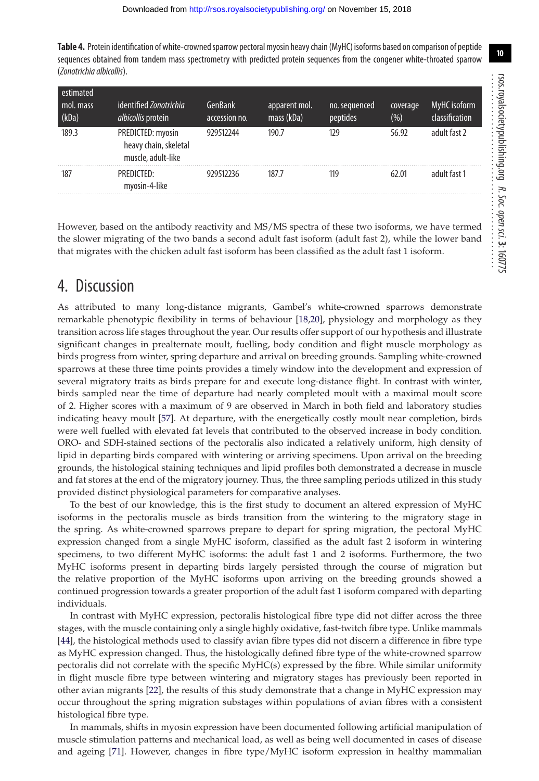<span id="page-9-0"></span>**Table 4.** Protein identification of white-crowned sparrow pectoral myosin heavy chain (MyHC) isoforms based on comparison of peptide sequences obtained from tandem mass spectrometry with predicted protein sequences from the congener white-throated sparrow (Zonotrichia albicollis).

| estimated<br>mol. mass<br>(kDa) | identified Zonotrichia<br>albicollis protein                     | GenBank<br>accession no. | apparent mol.<br>mass (kDa) | no. sequenced<br>peptides | coverage<br>$(\% )$ | MyHC isoform<br>classification |
|---------------------------------|------------------------------------------------------------------|--------------------------|-----------------------------|---------------------------|---------------------|--------------------------------|
| 189.3                           | PREDICTED: myosin<br>heavy chain, skeletal<br>muscle, adult-like | 929512244                | 190.7                       | 129                       | 56.92               | adult fast 2                   |
| 187                             | PREDICTED:<br>myosin-4-like                                      | 929512236                | 187.7                       | 119                       | 62.01               | adult fast 1                   |

However, based on the antibody reactivity and MS/MS spectra of these two isoforms, we have termed the slower migrating of the two bands a second adult fast isoform (adult fast 2), while the lower band that migrates with the chicken adult fast isoform has been classified as the adult fast 1 isoform.

## 4. Discussion

As attributed to many long-distance migrants, Gambel's white-crowned sparrows demonstrate remarkable phenotypic flexibility in terms of behaviour [\[18,](#page-12-20)[20\]](#page-12-11), physiology and morphology as they transition across life stages throughout the year. Our results offer support of our hypothesis and illustrate significant changes in prealternate moult, fuelling, body condition and flight muscle morphology as birds progress from winter, spring departure and arrival on breeding grounds. Sampling white-crowned sparrows at these three time points provides a timely window into the development and expression of several migratory traits as birds prepare for and execute long-distance flight. In contrast with winter, birds sampled near the time of departure had nearly completed moult with a maximal moult score of 2. Higher scores with a maximum of 9 are observed in March in both field and laboratory studies indicating heavy moult [\[57\]](#page-13-9). At departure, with the energetically costly moult near completion, birds were well fuelled with elevated fat levels that contributed to the observed increase in body condition. ORO- and SDH-stained sections of the pectoralis also indicated a relatively uniform, high density of lipid in departing birds compared with wintering or arriving specimens. Upon arrival on the breeding grounds, the histological staining techniques and lipid profiles both demonstrated a decrease in muscle and fat stores at the end of the migratory journey. Thus, the three sampling periods utilized in this study provided distinct physiological parameters for comparative analyses.

To the best of our knowledge, this is the first study to document an altered expression of MyHC isoforms in the pectoralis muscle as birds transition from the wintering to the migratory stage in the spring. As white-crowned sparrows prepare to depart for spring migration, the pectoral MyHC expression changed from a single MyHC isoform, classified as the adult fast 2 isoform in wintering specimens, to two different MyHC isoforms: the adult fast 1 and 2 isoforms. Furthermore, the two MyHC isoforms present in departing birds largely persisted through the course of migration but the relative proportion of the MyHC isoforms upon arriving on the breeding grounds showed a continued progression towards a greater proportion of the adult fast 1 isoform compared with departing individuals.

In contrast with MyHC expression, pectoralis histological fibre type did not differ across the three stages, with the muscle containing only a single highly oxidative, fast-twitch fibre type. Unlike mammals [\[44\]](#page-12-38), the histological methods used to classify avian fibre types did not discern a difference in fibre type as MyHC expression changed. Thus, the histologically defined fibre type of the white-crowned sparrow pectoralis did not correlate with the specific MyHC(s) expressed by the fibre. While similar uniformity in flight muscle fibre type between wintering and migratory stages has previously been reported in other avian migrants [\[22\]](#page-12-42), the results of this study demonstrate that a change in MyHC expression may occur throughout the spring migration substages within populations of avian fibres with a consistent histological fibre type.

In mammals, shifts in myosin expression have been documented following artificial manipulation of muscle stimulation patterns and mechanical load, as well as being well documented in cases of disease and ageing [\[71\]](#page-13-21). However, changes in fibre type/MyHC isoform expression in healthy mammalian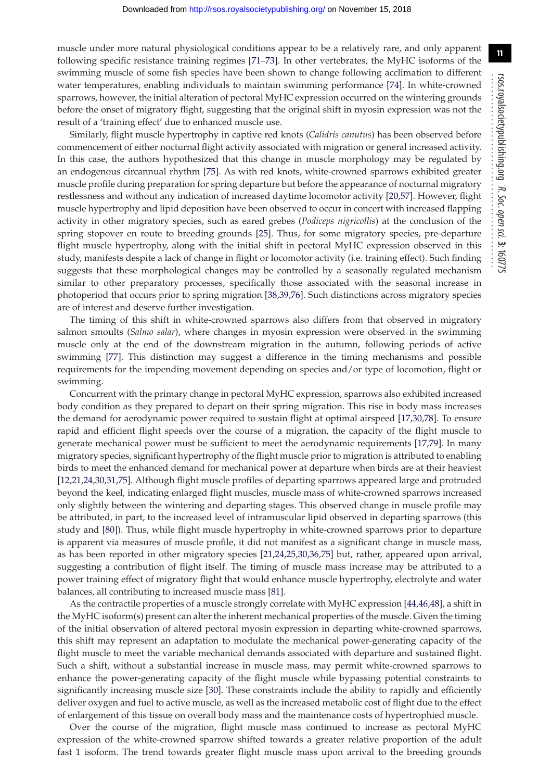muscle under more natural physiological conditions appear to be a relatively rare, and only apparent following specific resistance training regimes [\[71–](#page-13-21)[73\]](#page-13-22). In other vertebrates, the MyHC isoforms of the swimming muscle of some fish species have been shown to change following acclimation to different water temperatures, enabling individuals to maintain swimming performance [\[74\]](#page-13-23). In white-crowned sparrows, however, the initial alteration of pectoral MyHC expression occurred on the wintering grounds before the onset of migratory flight, suggesting that the original shift in myosin expression was not the result of a 'training effect' due to enhanced muscle use.

Similarly, flight muscle hypertrophy in captive red knots (*Calidris canutus*) has been observed before commencement of either nocturnal flight activity associated with migration or general increased activity. In this case, the authors hypothesized that this change in muscle morphology may be regulated by an endogenous circannual rhythm [\[75\]](#page-13-24). As with red knots, white-crowned sparrows exhibited greater muscle profile during preparation for spring departure but before the appearance of nocturnal migratory restlessness and without any indication of increased daytime locomotor activity [\[20,](#page-12-11)[57\]](#page-13-9). However, flight muscle hypertrophy and lipid deposition have been observed to occur in concert with increased flapping activity in other migratory species, such as eared grebes (*Podiceps nigricollis*) at the conclusion of the spring stopover en route to breeding grounds [\[25\]](#page-12-13). Thus, for some migratory species, pre-departure flight muscle hypertrophy, along with the initial shift in pectoral MyHC expression observed in this study, manifests despite a lack of change in flight or locomotor activity (i.e. training effect). Such finding suggests that these morphological changes may be controlled by a seasonally regulated mechanism similar to other preparatory processes, specifically those associated with the seasonal increase in photoperiod that occurs prior to spring migration [\[38](#page-12-29)[,39,](#page-12-31)[76\]](#page-13-25). Such distinctions across migratory species are of interest and deserve further investigation.

The timing of this shift in white-crowned sparrows also differs from that observed in migratory salmon smoults (*Salmo salar*), where changes in myosin expression were observed in the swimming muscle only at the end of the downstream migration in the autumn, following periods of active swimming [\[77\]](#page-13-26). This distinction may suggest a difference in the timing mechanisms and possible requirements for the impending movement depending on species and/or type of locomotion, flight or swimming.

Concurrent with the primary change in pectoral MyHC expression, sparrows also exhibited increased body condition as they prepared to depart on their spring migration. This rise in body mass increases the demand for aerodynamic power required to sustain flight at optimal airspeed [\[17](#page-12-10)[,30,](#page-12-19)[78\]](#page-13-27). To ensure rapid and efficient flight speeds over the course of a migration, the capacity of the flight muscle to generate mechanical power must be sufficient to meet the aerodynamic requirements [\[17](#page-12-10)[,79\]](#page-13-28). In many migratory species, significant hypertrophy of the flight muscle prior to migration is attributed to enabling birds to meet the enhanced demand for mechanical power at departure when birds are at their heaviest [\[12](#page-12-8)[,21,](#page-12-12)[24](#page-12-15)[,30](#page-12-19)[,31,](#page-12-21)[75\]](#page-13-24). Although flight muscle profiles of departing sparrows appeared large and protruded beyond the keel, indicating enlarged flight muscles, muscle mass of white-crowned sparrows increased only slightly between the wintering and departing stages. This observed change in muscle profile may be attributed, in part, to the increased level of intramuscular lipid observed in departing sparrows (this study and [\[80\]](#page-13-29)). Thus, while flight muscle hypertrophy in white-crowned sparrows prior to departure is apparent via measures of muscle profile, it did not manifest as a significant change in muscle mass, as has been reported in other migratory species [\[21](#page-12-12)[,24,](#page-12-15)[25](#page-12-13)[,30,](#page-12-19)[36,](#page-12-26)[75\]](#page-13-24) but, rather, appeared upon arrival, suggesting a contribution of flight itself. The timing of muscle mass increase may be attributed to a power training effect of migratory flight that would enhance muscle hypertrophy, electrolyte and water balances, all contributing to increased muscle mass [\[81\]](#page-13-30).

As the contractile properties of a muscle strongly correlate with MyHC expression [\[44,](#page-12-38)[46](#page-12-41)[,48\]](#page-13-0), a shift in the MyHC isoform(s) present can alter the inherent mechanical properties of the muscle. Given the timing of the initial observation of altered pectoral myosin expression in departing white-crowned sparrows, this shift may represent an adaptation to modulate the mechanical power-generating capacity of the flight muscle to meet the variable mechanical demands associated with departure and sustained flight. Such a shift, without a substantial increase in muscle mass, may permit white-crowned sparrows to enhance the power-generating capacity of the flight muscle while bypassing potential constraints to significantly increasing muscle size [\[30\]](#page-12-19). These constraints include the ability to rapidly and efficiently deliver oxygen and fuel to active muscle, as well as the increased metabolic cost of flight due to the effect of enlargement of this tissue on overall body mass and the maintenance costs of hypertrophied muscle.

Over the course of the migration, flight muscle mass continued to increase as pectoral MyHC expression of the white-crowned sparrow shifted towards a greater relative proportion of the adult fast 1 isoform. The trend towards greater flight muscle mass upon arrival to the breeding grounds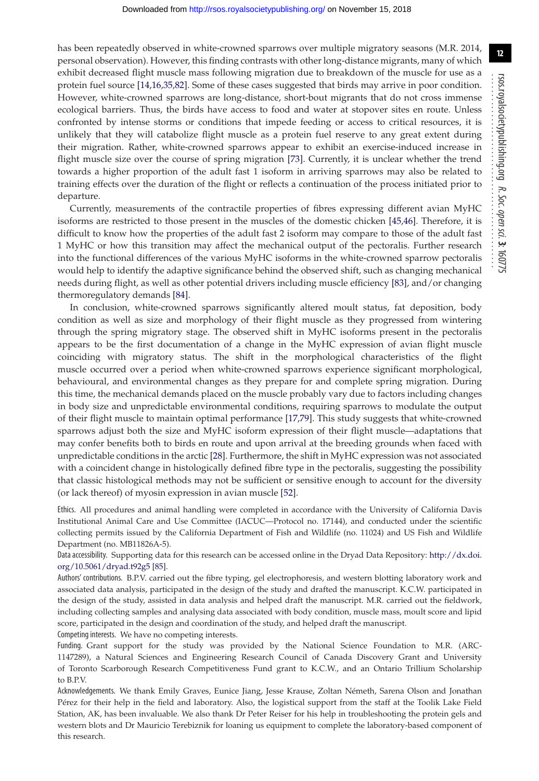has been repeatedly observed in white-crowned sparrows over multiple migratory seasons (M.R. 2014, personal observation). However, this finding contrasts with other long-distance migrants, many of which exhibit decreased flight muscle mass following migration due to breakdown of the muscle for use as a protein fuel source [\[14](#page-12-23)[,16](#page-12-9)[,35,](#page-12-32)[82\]](#page-13-31). Some of these cases suggested that birds may arrive in poor condition. However, white-crowned sparrows are long-distance, short-bout migrants that do not cross immense ecological barriers. Thus, the birds have access to food and water at stopover sites en route. Unless confronted by intense storms or conditions that impede feeding or access to critical resources, it is unlikely that they will catabolize flight muscle as a protein fuel reserve to any great extent during their migration. Rather, white-crowned sparrows appear to exhibit an exercise-induced increase in flight muscle size over the course of spring migration [\[73\]](#page-13-22). Currently, it is unclear whether the trend towards a higher proportion of the adult fast 1 isoform in arriving sparrows may also be related to training effects over the duration of the flight or reflects a continuation of the process initiated prior to departure.

Currently, measurements of the contractile properties of fibres expressing different avian MyHC isoforms are restricted to those present in the muscles of the domestic chicken [\[45,](#page-12-39)[46\]](#page-12-41). Therefore, it is difficult to know how the properties of the adult fast 2 isoform may compare to those of the adult fast 1 MyHC or how this transition may affect the mechanical output of the pectoralis. Further research into the functional differences of the various MyHC isoforms in the white-crowned sparrow pectoralis would help to identify the adaptive significance behind the observed shift, such as changing mechanical needs during flight, as well as other potential drivers including muscle efficiency [\[83\]](#page-13-32), and/or changing thermoregulatory demands [\[84\]](#page-13-33).

In conclusion, white-crowned sparrows significantly altered moult status, fat deposition, body condition as well as size and morphology of their flight muscle as they progressed from wintering through the spring migratory stage. The observed shift in MyHC isoforms present in the pectoralis appears to be the first documentation of a change in the MyHC expression of avian flight muscle coinciding with migratory status. The shift in the morphological characteristics of the flight muscle occurred over a period when white-crowned sparrows experience significant morphological, behavioural, and environmental changes as they prepare for and complete spring migration. During this time, the mechanical demands placed on the muscle probably vary due to factors including changes in body size and unpredictable environmental conditions, requiring sparrows to modulate the output of their flight muscle to maintain optimal performance [\[17,](#page-12-10)[79\]](#page-13-28). This study suggests that white-crowned sparrows adjust both the size and MyHC isoform expression of their flight muscle—adaptations that may confer benefits both to birds en route and upon arrival at the breeding grounds when faced with unpredictable conditions in the arctic [\[28\]](#page-12-17). Furthermore, the shift in MyHC expression was not associated with a coincident change in histologically defined fibre type in the pectoralis, suggesting the possibility that classic histological methods may not be sufficient or sensitive enough to account for the diversity (or lack thereof) of myosin expression in avian muscle [\[52\]](#page-13-4).

Ethics. All procedures and animal handling were completed in accordance with the University of California Davis Institutional Animal Care and Use Committee (IACUC—Protocol no. 17144), and conducted under the scientific collecting permits issued by the California Department of Fish and Wildlife (no. 11024) and US Fish and Wildlife Department (no. MB11826A-5).

Data accessibility. Supporting data for this research can be accessed online in the Dryad Data Repository: [http://dx.doi.](http://dx.doi.org/10.5061/dryad.t92g5) [org/10.5061/dryad.t92g5](http://dx.doi.org/10.5061/dryad.t92g5) [\[85\]](#page-13-34).

Authors' contributions. B.P.V. carried out the fibre typing, gel electrophoresis, and western blotting laboratory work and associated data analysis, participated in the design of the study and drafted the manuscript. K.C.W. participated in the design of the study, assisted in data analysis and helped draft the manuscript. M.R. carried out the fieldwork, including collecting samples and analysing data associated with body condition, muscle mass, moult score and lipid score, participated in the design and coordination of the study, and helped draft the manuscript. Competing interests. We have no competing interests.

Funding. Grant support for the study was provided by the National Science Foundation to M.R. (ARC-1147289), a Natural Sciences and Engineering Research Council of Canada Discovery Grant and University of Toronto Scarborough Research Competitiveness Fund grant to K.C.W., and an Ontario Trillium Scholarship to B.P.V.

Acknowledgements. We thank Emily Graves, Eunice Jiang, Jesse Krause, Zoltan Németh, Sarena Olson and Jonathan Pérez for their help in the field and laboratory. Also, the logistical support from the staff at the Toolik Lake Field Station, AK, has been invaluable. We also thank Dr Peter Reiser for his help in troubleshooting the protein gels and western blots and Dr Mauricio Terebiznik for loaning us equipment to complete the laboratory-based component of this research.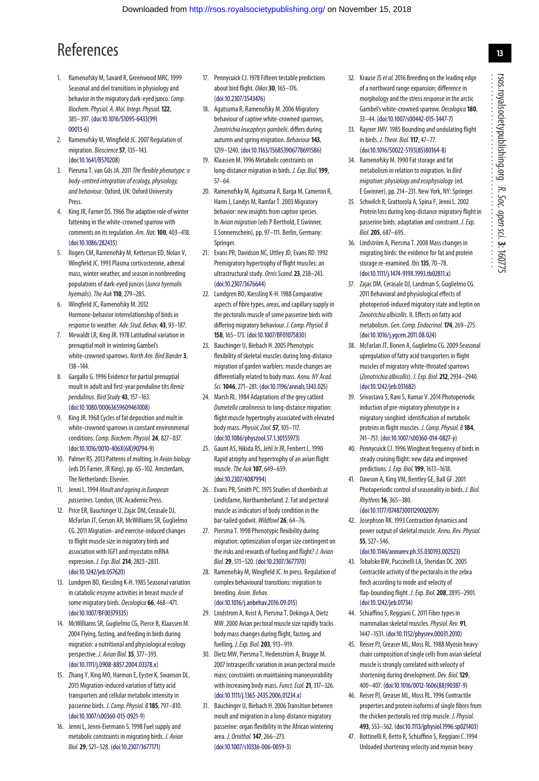# References

- <span id="page-12-0"></span>1. Ramenofsky M, Savard R, Greenwood MRC. 1999 Seasonal and diel transitions in physiology and behavior in the migratory dark-eyed junco. Comp. Biochem. Physiol. A. Mol. Integr. Physiol.**122**, 385–397. [\(doi:10.1016/S1095-6433\(99\)](http://dx.doi.org/10.1016/S1095-6433(99)00013-6) [00013-6\)](http://dx.doi.org/10.1016/S1095-6433(99)00013-6)
- <span id="page-12-14"></span>2. Ramenofsky M, Wingfield JC. 2007 Regulation of migration. Bioscience**57**, 135–143. [\(doi:10.1641/B570208\)](http://dx.doi.org/10.1641/B570208)
- <span id="page-12-1"></span>3. Piersma T, van Gils JA. 2011 The flexible phenotype: a body-centred integration of ecology, physiology, and behaviour. Oxford, UK: Oxford University Press.
- <span id="page-12-2"></span>4. King JR, Farner DS. 1966 The adaptive role of winter fattening in the white-crowned sparrow with comments on its regulation. Am. Nat.**100**, 403–418. [\(doi:10.1086/282435\)](http://dx.doi.org/10.1086/282435)
- 5. Rogers CM, Ramenofsky M, Ketterson ED, Nolan V, Wingfield JC. 1993 Plasma corticosterone, adrenal mass, winter weather, and season in nonbreeding populations of dark-eyed juncos (Junco hyemalis hyemalis).The Auk **110**, 279–285.
- <span id="page-12-3"></span>6. Wingfield JC, Ramenofsky M. 2012 Hormone-behavior interrelationship of birds in response to weather. Adv. Stud. Behav. **43**, 93–187.
- <span id="page-12-4"></span>7. Mewaldt LR, King JR. 1978 Latitudinal variation in prenuptial molt in wintering Gambel's white-crowned sparrows. North Am. Bird Bander **3**, 138–144.
- <span id="page-12-5"></span>8. Gargallo G. 1996 Evidence for partial prenuptial moult in adult and first-year penduline tits Remiz pendulinus. Bird Study **43**, 157–163. [\(doi:10.1080/00063659609461008\)](http://dx.doi.org/10.1080/00063659609461008)
- <span id="page-12-6"></span>9. King JR. 1968 Cycles of fat deposition and molt in white-crowned sparrows in constant environmenal conditions.Comp. Biochem. Physiol.**24**, 827–837. [\(doi:10.1016/0010-406X\(68\)90794-9\)](http://dx.doi.org/10.1016/0010-406X(68)90794-9)
- 10. Palmer RS. 2013 Patterns of molting. In Avian biology (eds DS Farner, JR King), pp. 65–102. Amsterdam, The Netherlands: Elsevier.
- <span id="page-12-7"></span>11. Jenni L. 1994 Moult and ageing in European passerines. London, UK: Academic Press.
- <span id="page-12-8"></span>12. Price ER, Bauchinger U, Zajac DM, Cerasale DJ, McFarlan JT, Gerson AR, McWilliams SR, Guglielmo CG. 2011 Migration- and exercise-induced changes to flight muscle size in migratory birds and association with IGF1 and myostatin mRNA expression. J. Exp. Biol.**214**, 2823–2831. [\(doi:10.1242/jeb.057620\)](http://dx.doi.org/10.1242/jeb.057620)
- 13. Lundgren BO, Kiessling K-H. 1985 Seasonal variation in catabolic enzyme activities in breast muscle of some migratory birds. Oecologica **66**, 468–471. [\(doi:10.1007/BF00379335\)](http://dx.doi.org/10.1007/BF00379335)
- <span id="page-12-23"></span>14. McWilliams SR, Guglielmo CG, Pierce B, Klaassen M. 2004 Flying, fasting, and feeding in birds during migration: a nutritional and physiological ecology perspective. J. Avian Biol.**35**, 377–393. [\(doi:10.1111/j.0908-8857.2004.03378.x\)](http://dx.doi.org/10.1111/j.0908-8857.2004.03378.x)
- <span id="page-12-27"></span>15. Zhang Y, King MO, Harmon E, Eyster K, Swanson DL. 2015 Migration-induced variation of fatty acid transporters and cellular metabolic intensity in passerine birds. J. Comp. Physiol. B **185**, 797–810. [\(doi:10.1007/s00360-015-0921-9\)](http://dx.doi.org/10.1007/s00360-015-0921-9)
- <span id="page-12-9"></span>16. Jenni L, Jenni-Eiermann S. 1998 Fuel supply and metabolic constraints in migrating birds. J. Avian Biol.**29**, 521–528. [\(doi:10.2307/3677171\)](http://dx.doi.org/10.2307/3677171)
- <span id="page-12-10"></span>17. Pennycuick CJ. 1978 Fifteen testable predictions about bird flight. Oikos**30**, 165–176. [\(doi:10.2307/3543476\)](http://dx.doi.org/10.2307/3543476)
- <span id="page-12-20"></span>18. Agatsuma R, Ramenofsky M. 2006 Migratory behaviour of captive white-crowned sparrows, Zonotrichia leucophrys gambelii, differs during autumn and spring migration. Behaviour **143**, 1219–1240. [\(doi:10.1163/156853906778691586\)](http://dx.doi.org/10.1163/156853906778691586)
- <span id="page-12-30"></span>19. Klaassen M. 1996 Metabolic constraints on long-distance migration in birds. J. Exp. Biol.**199**, 57–64.
- <span id="page-12-11"></span>20. Ramenofsky M, Agatsuma R, Barga M, Cameron R, Harm J, Landys M, Ramfar T. 2003 Migratory behavior: new insights from captive species. In Avian migration (eds P Berthold, F Gwinner, E Sonnenschein), pp. 97–111. Berlin, Germany: Springer.
- <span id="page-12-12"></span>21. Evans PR, Davidson NC, Uttley JD, Evans RD. 1992 Premigratory hypertrophy of flight muscles: an ultrastructural study. Ornis Scand.**23**, 238–243. [\(doi:10.2307/3676644\)](http://dx.doi.org/10.2307/3676644)
- <span id="page-12-42"></span>22. Lundgren BO, Kiessling K-H. 1988 Comparative aspects of fibre types, areas, and capillary supply in the pectoralis muscle of some passerine birds with differing migratory behaviour. J. Comp. Physiol. B **158**, 165–173. [\(doi:10.1007/BF01075830\)](http://dx.doi.org/10.1007/BF01075830)
- <span id="page-12-34"></span>23. Bauchinger U, Biebach H. 2005 Phenotypic flexibility of skeletal muscles during long-distance migration of garden warblers: muscle changes are differentially related to body mass. Annu. NY Acad. Sci. **1046**, 271–281. [\(doi:10.1196/annals.1343.025\)](http://dx.doi.org/10.1196/annals.1343.025)
- <span id="page-12-15"></span>24. Marsh RL. 1984 Adaptations of the grey catbird Dumetella carolinensis to long-distance migration: flight muscle hypertrophy associated with elevated body mass.Physiol. Zool.**57**, 105–117. [\(doi:10.1086/physzool.57.1.30155973\)](http://dx.doi.org/10.1086/physzool.57.1.30155973)
- <span id="page-12-13"></span>25. Gaunt AS, Hikida RS, Jehl Jr JR, Fenbert L. 1990 Rapid atrophy and hypertrophy of an avian flight muscle.The Auk **107**, 649–659. [\(doi:10.2307/4087994\)](http://dx.doi.org/10.2307/4087994)
- <span id="page-12-16"></span>26. Evans PR, Smith PC. 1975 Studies of shorebirds at Lindisfarne, Northumberland. 2. Fat and pectoral muscle as indicators of body condition in the bar-tailed godwit.Wildfowl**26**, 64–76.
- 27. Piersma T. 1998 Phenotypic flexibility during migration: optimization of organ size contingent on the risks and rewards of fueling and flight? J. Avian Biol.**29**, 511–520. [\(doi:10.2307/3677170\)](http://dx.doi.org/10.2307/3677170)
- <span id="page-12-17"></span>28. Ramenofsky M, Wingfield JC. In press. Regulation of complex behavioural transitions: migration to breeding. Anim. Behav. [\(doi:10.1016/j.anbehav.2016.09.015\)](http://dx.doi.org/10.1016/j.anbehav.2016.09.015)
- <span id="page-12-18"></span>29. Lindstrom A, Kvist A, Piersma T, Dekinga A, Dietz MW. 2000 Avian pectoral muscle size rapidly tracks body mass changes during flight, fasting, and fuelling. J. Exp. Biol.**203**, 913–919.
- <span id="page-12-19"></span>30. Dietz MW, Piersma T, Hedenström A, Brugge M. 2007 Intraspecific variation in avian pectoral muscle mass: constraints on maintaining manoeuvrability with increasing body mass.Funct. Ecol.**21**, 317–326. [\(doi:10.1111/j.1365-2435.2006.01234.x\)](http://dx.doi.org/10.1111/j.1365-2435.2006.01234.x)
- <span id="page-12-21"></span>31. Bauchinger U, Biebach H. 2006 Transition between moult and migration in a long-distance migratory passerine: organ flexibility in the African wintering area. J. Ornithol.**147**, 266–273. [\(doi:10.1007/s10336-006-0059-3\)](http://dx.doi.org/10.1007/s10336-006-0059-3)
- <span id="page-12-22"></span>32. Krause JS et al. 2016 Breeding on the leading edge of a northward range expansion; difference in morphology and the stress response in the arctic Gambel's white-crowned sparrow. Oecologica**180**, 33–44. [\(doi:10.1007/s00442-015-3447-7\)](http://dx.doi.org/10.1007/s00442-015-3447-7)
- <span id="page-12-24"></span>33. Rayner JMV. 1985 Bounding and undulating flight in birds. J. Theor. Biol.**117**, 47–77. [\(doi:10.1016/S0022-5193\(85\)80164-8\)](http://dx.doi.org/10.1016/S0022-5193(85)80164-8)
- <span id="page-12-25"></span>34. Ramenofsky M. 1990 Fat storage and fat metabolism in relation to migration. In Bird migration: physiology and ecophysiology (ed. E Gwinner), pp. 214–231. New York, NY: Springer.
- <span id="page-12-32"></span>35. Schwilch R, Grattorola A, Spina F, Jenni L. 2002 Protein loss during long-distance migratory flight in passerine birds: adaptation and constraint. J. Exp. Biol.**205**, 687–695.
- <span id="page-12-26"></span>36. Lindström A, Piersma T. 2008 Mass changes in migrating birds: the evidence for fat and protein storage re-examined. Ibis**135**, 70–78. [\(doi:10.1111/j.1474-919X.1993.tb02811.x\)](http://dx.doi.org/10.1111/j.1474-919X.1993.tb02811.x)
- <span id="page-12-28"></span>37. Zajac DM, Cerasale DJ, Landman S, Guglielmo CG. 2011 Behavioral and physiological effects of photoperiod-induced migratory state and leptin on Zonotrichia albicollis. II. Effects on fatty acid metabolism. Gen. Comp. Endocrinol. **174**, 269–275. [\(doi:10.1016/j.ygcen.2011.08.024\)](http://dx.doi.org/10.1016/j.ygcen.2011.08.024)
- <span id="page-12-29"></span>38. McFarlan JT, Bonen A, Guglielmo CG. 2009 Seasonal upregulation of fatty acid transporters in flight muscles of migratory white-throated sparrows (Zonotrichia albicollis). J. Exp. Biol.**212**, 2934–2940. [\(doi:10.1242/jeb.031682\)](http://dx.doi.org/10.1242/jeb.031682)
- <span id="page-12-31"></span>39. Srivastava S, Rani S, Kumar V. 2014 Photoperiodic induction of pre-migratory phenotype in a migratory songbird: identification of metabolic proteins in flight muscles. J. Comp. Physiol. B **184**, 741–751. [\(doi:10.1007/s00360-014-0827-y\)](http://dx.doi.org/10.1007/s00360-014-0827-y)
- <span id="page-12-33"></span>40. Pennycuick CJ. 1996 Wingbeat frequency of birds in steady cruising flight: new data and improved predictions. J. Exp. Biol.**199**, 1613–1618.
- <span id="page-12-35"></span>41. Dawson A, King VM, Bentley GE, Ball GF. 2001 Photoperiodic control of seasonality in birds. J. Biol. Rhythms**16**,365–380.
- <span id="page-12-36"></span>[\(doi:10.1177/074873001129002079\)](http://dx.doi.org/10.1177/074873001129002079) 42. Josephson RK. 1993 Contraction dynamics and power output of skeletal muscle. Annu. Rev. Physiol. **55**, 527–546.
- <span id="page-12-37"></span>[\(doi:10.1146/annurev.ph.55.030193.002523\)](http://dx.doi.org/10.1146/annurev.ph.55.030193.002523) 43. Tobalske BW, Puccinelli LA, Sheridan DC. 2005 Contractile activity of the pectoralis in the zebra finch according to mode and velocity of flap-bounding flight. J. Exp. Biol.**208**, 2895–2901. [\(doi:10.1242/jeb.01734\)](http://dx.doi.org/10.1242/jeb.01734)
- <span id="page-12-38"></span>44. Schiaffino S, Reggiani C. 2011 Fiber types in mammalian skeletal muscles.Physiol. Rev. **91**, 1447–1531. [\(doi:10.1152/physrev.00031.2010\)](http://dx.doi.org/10.1152/physrev.00031.2010)
- <span id="page-12-39"></span>45. Reiser PJ, Greaser ML, Moss RL. 1988 Myosin heavy chain composition of single cells from avian skeletal muscle is strongly correlated with velocity of shortening during development. Dev. Biol.**129**, 400–407. [\(doi:10.1016/0012-1606\(88\)90387-9\)](http://dx.doi.org/10.1016/0012-1606(88)90387-9)
- <span id="page-12-41"></span>46. Reiser PJ, Greaser ML, Moss RL. 1996 Contractile properties and protein isoforms of single fibres from the chicken pectoralis red strip muscle. J. Physiol. **493**, 553–562. [\(doi:10.1113/jphysiol.1996.sp021403\)](http://dx.doi.org/10.1113/jphysiol.1996.sp021403)
- <span id="page-12-40"></span>47. Bottinelli R, Betto R, Schiaffino S, Reggiani C. 1994 Unloaded shortening velocity and myosin heavy